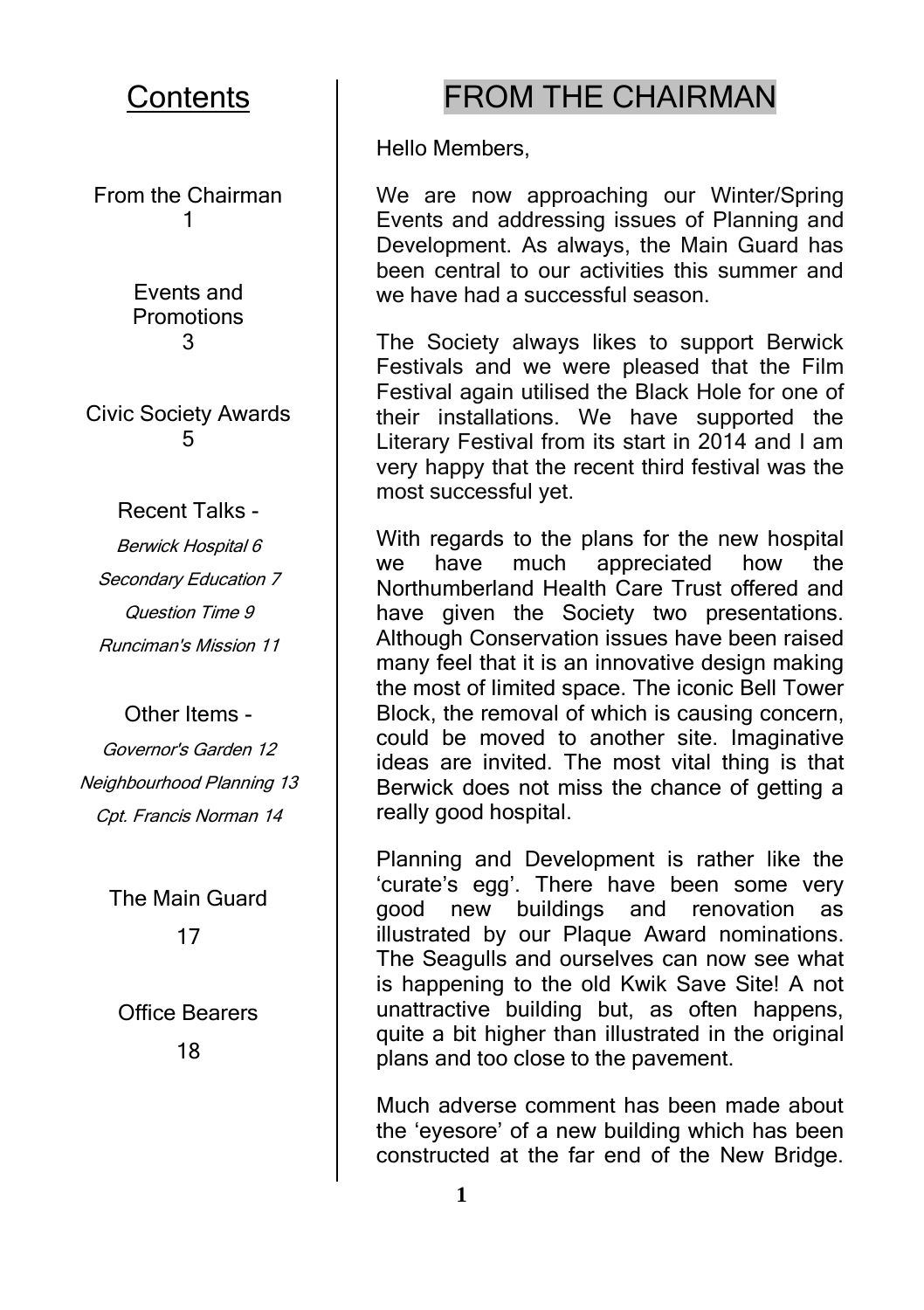#### **Contents**

From the Chairman 1

> Events and Promotions 3

Civic Society Awards 5

Recent Talks -

Berwick Hospital 6 Secondary Education 7 Question Time 9 Runciman's Mission 11

Other Items -

Governor's Garden 12 Neighbourhood Planning 13 Cpt. Francis Norman 14

> The Main Guard 17

Office Bearers 18

#### FROM THE CHAIRMAN

Hello Members,

We are now approaching our Winter/Spring Events and addressing issues of Planning and Development. As always, the Main Guard has been central to our activities this summer and we have had a successful season.

The Society always likes to support Berwick Festivals and we were pleased that the Film Festival again utilised the Black Hole for one of their installations. We have supported the Literary Festival from its start in 2014 and I am very happy that the recent third festival was the most successful yet.

With regards to the plans for the new hospital<br>we have much appreciated how the we have much appreciated how Northumberland Health Care Trust offered and have given the Society two presentations. Although Conservation issues have been raised many feel that it is an innovative design making the most of limited space. The iconic Bell Tower Block, the removal of which is causing concern, could be moved to another site. Imaginative ideas are invited. The most vital thing is that Berwick does not miss the chance of getting a really good hospital.

Planning and Development is rather like the 'curate's egg'. There have been some very good new buildings and renovation as illustrated by our Plaque Award nominations. The Seagulls and ourselves can now see what is happening to the old Kwik Save Site! A not unattractive building but, as often happens, quite a bit higher than illustrated in the original plans and too close to the pavement.

Much adverse comment has been made about the 'eyesore' of a new building which has been constructed at the far end of the New Bridge.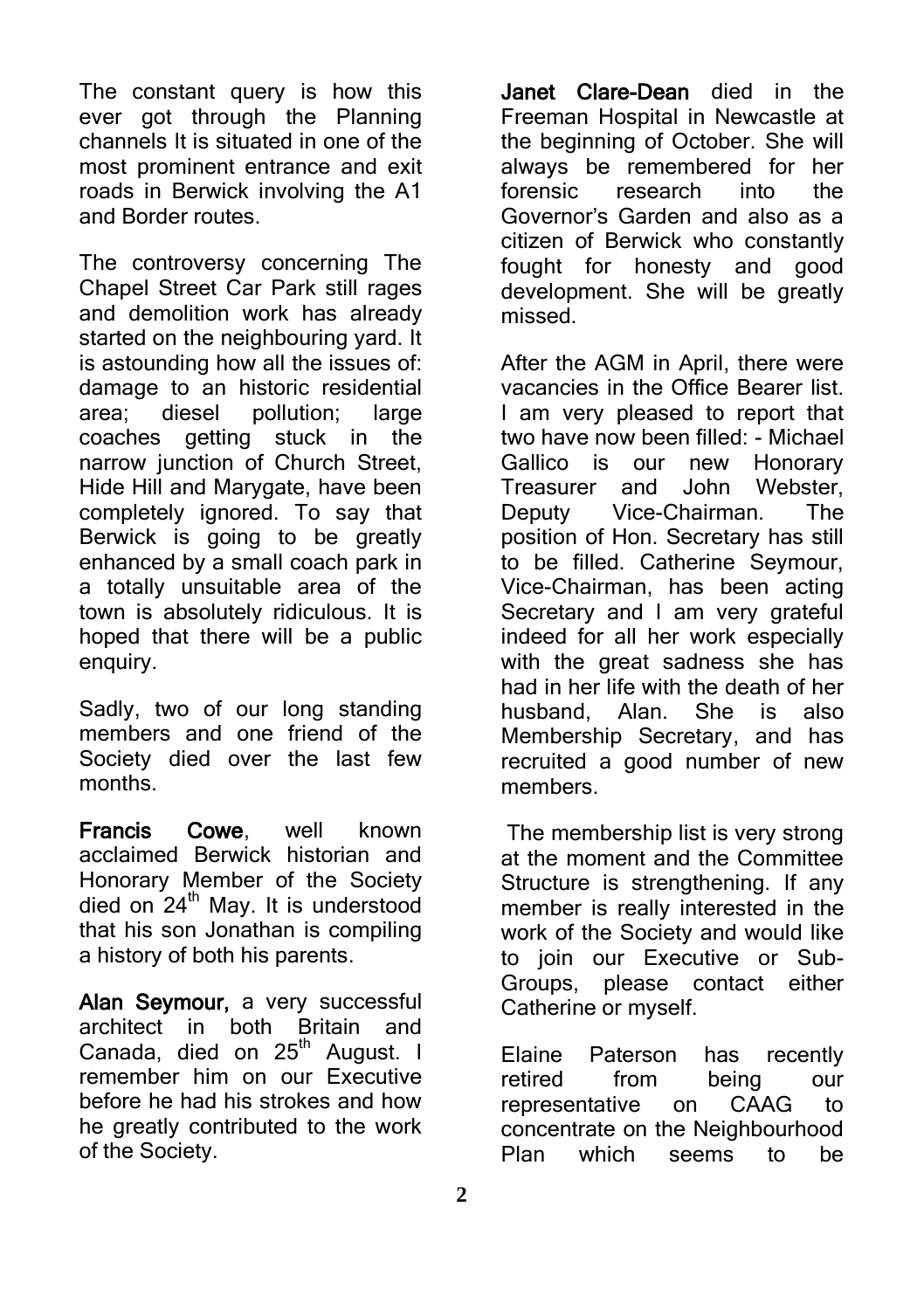The constant query is how this ever got through the Planning channels It is situated in one of the most prominent entrance and exit roads in Berwick involving the A1 and Border routes.

The controversy concerning The Chapel Street Car Park still rages and demolition work has already started on the neighbouring vard. It is astounding how all the issues of: damage to an historic residential area; diesel pollution; large coaches getting stuck in the narrow junction of Church Street, Hide Hill and Marygate, have been completely ignored. To say that Berwick is going to be greatly enhanced by a small coach park in a totally unsuitable area of the town is absolutely ridiculous. It is hoped that there will be a public enquiry.

Sadly, two of our long standing members and one friend of the Society died over the last few months.

Francis Cowe, well known acclaimed Berwick historian and Honorary Member of the Society died on  $24<sup>th</sup>$  May. It is understood that his son Jonathan is compiling a history of both his parents.

Alan Seymour, a very successful architect in both Britain and Canada, died on 25<sup>th</sup> August. I remember him on our Executive before he had his strokes and how he greatly contributed to the work of the Society.

Janet Clare-Dean died in the Freeman Hospital in Newcastle at the beginning of October. She will always be remembered for her forensic research into the Governor's Garden and also as a citizen of Berwick who constantly fought for honesty and good development. She will be greatly missed.

After the AGM in April, there were vacancies in the Office Bearer list. I am very pleased to report that two have now been filled: - Michael Gallico is our new Honorary Treasurer and John Webster, Deputy Vice-Chairman. The position of Hon. Secretary has still to be filled. Catherine Seymour, Vice-Chairman, has been acting Secretary and I am very grateful indeed for all her work especially with the great sadness she has had in her life with the death of her husband, Alan. She is also Membership Secretary, and has recruited a good number of new members.

The membership list is very strong at the moment and the Committee Structure is strengthening. If any member is really interested in the work of the Society and would like to join our Executive or Sub-Groups, please contact either Catherine or myself.

Elaine Paterson has recently retired from being our representative on CAAG to concentrate on the Neighbourhood Plan which seems to be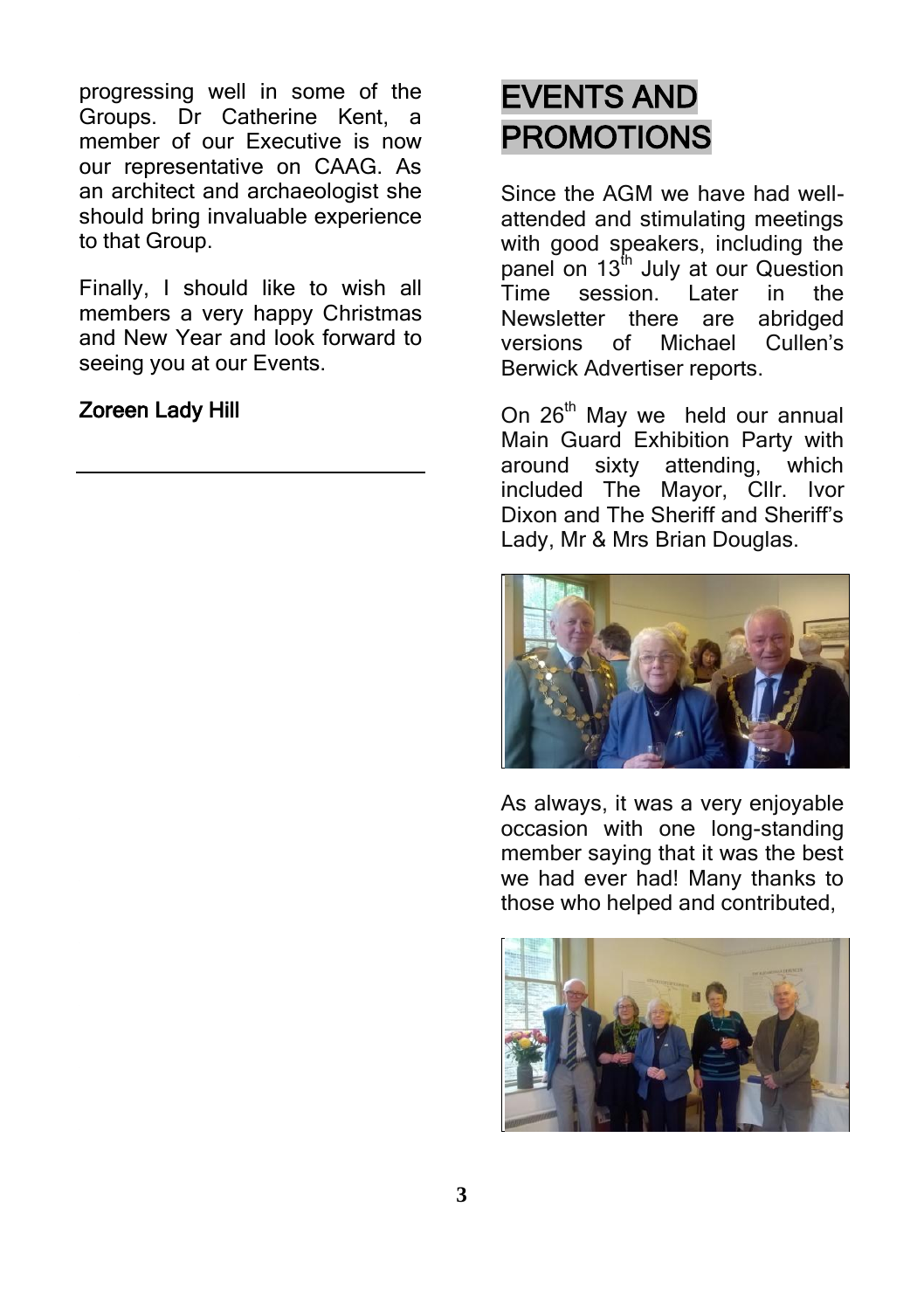progressing well in some of the Groups. Dr Catherine Kent, a member of our Executive is now our representative on CAAG. As an architect and archaeologist she should bring invaluable experience to that Group.

Finally, I should like to wish all members a very happy Christmas and New Year and look forward to seeing you at our Events.

#### Zoreen Lady Hill

## EVENTS AND PROMOTIONS

Since the AGM we have had wellattended and stimulating meetings with good speakers, including the panel on  $13<sup>th</sup>$  July at our Question Time session. Later in the Newsletter there are abridged versions of Michael Cullen's Berwick Advertiser reports.

On 26<sup>th</sup> May we held our annual Main Guard Exhibition Party with around sixty attending, which included The Mayor, Cllr. Ivor Dixon and The Sheriff and Sheriff's Lady, Mr & Mrs Brian Douglas.



As always, it was a very enjoyable occasion with one long-standing member saying that it was the best we had ever had! Many thanks to those who helped and contributed,

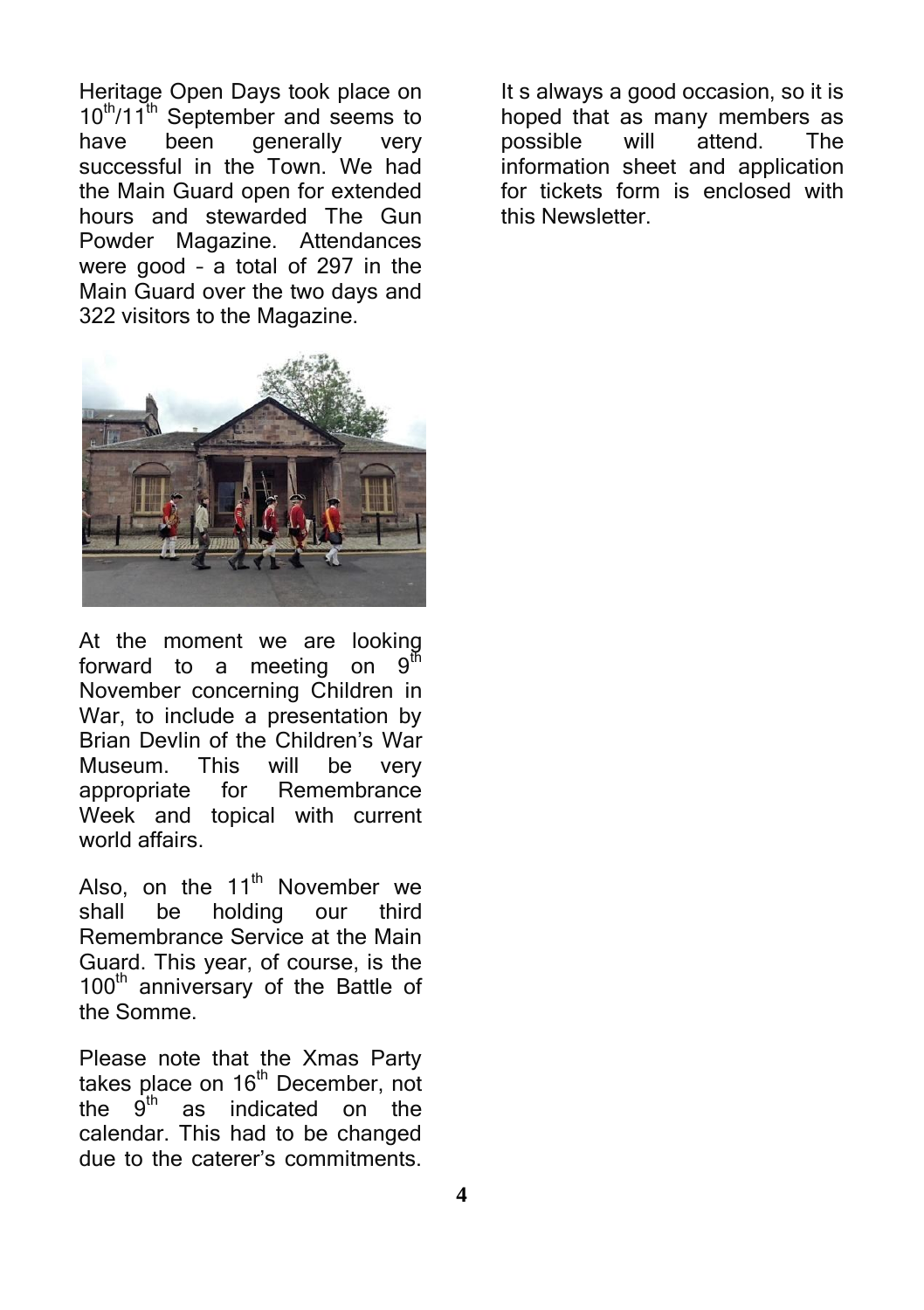Heritage Open Days took place on  $10^{th}/11^{th}$  September and seems to have been generally very successful in the Town. We had the Main Guard open for extended hours and stewarded The Gun Powder Magazine. Attendances were good – a total of 297 in the Main Guard over the two days and 322 visitors to the Magazine.



At the moment we are looking forward to a meeting on  $9<sup>th</sup>$ forward to a meeting on November concerning Children in War, to include a presentation by Brian Devlin of the Children's War Museum. This will be very appropriate for Remembrance Week and topical with current world affairs.

Also, on the  $11<sup>th</sup>$  November we shall be holding our third Remembrance Service at the Main Guard. This year, of course, is the 100<sup>th</sup> anniversary of the Battle of the Somme.

Please note that the Xmas Party takes place on  $16^{th}$  December, not<br>the  $9^{th}$  as indicated on the as indicated on the calendar. This had to be changed due to the caterer's commitments.

It s always a good occasion, so it is hoped that as many members as possible will attend. The information sheet and application for tickets form is enclosed with this Newsletter.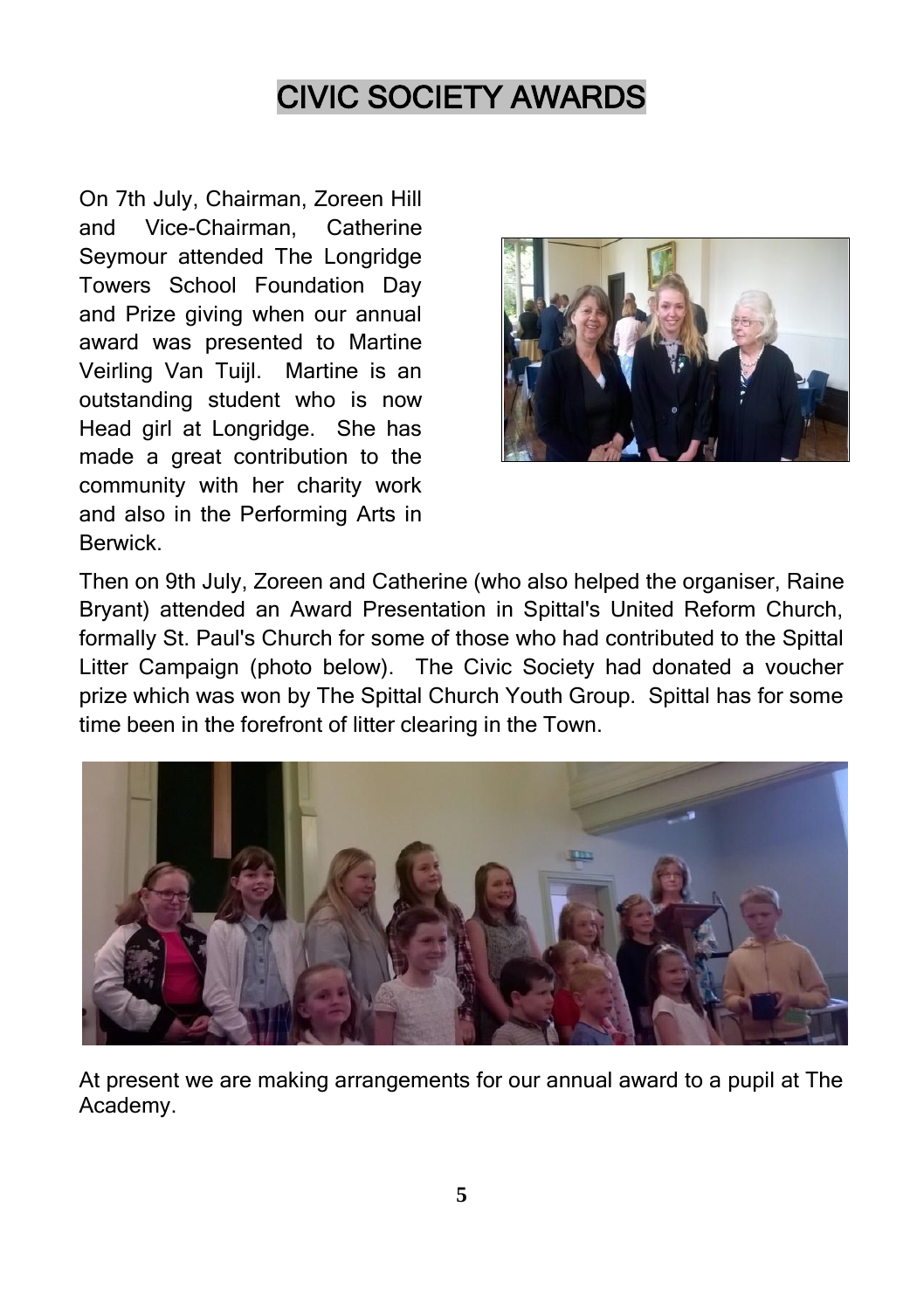### CIVIC SOCIETY AWARDS

On 7th July, Chairman, Zoreen Hill and Vice-Chairman, Catherine Seymour attended The Longridge Towers School Foundation Day and Prize giving when our annual award was presented to Martine Veirling Van Tuijl. Martine is an outstanding student who is now Head girl at Longridge. She has made a great contribution to the community with her charity work and also in the Performing Arts in Berwick.



Then on 9th July, Zoreen and Catherine (who also helped the organiser, Raine Bryant) attended an Award Presentation in Spittal's United Reform Church, formally St. Paul's Church for some of those who had contributed to the Spittal Litter Campaign (photo below). The Civic Society had donated a voucher prize which was won by The Spittal Church Youth Group. Spittal has for some time been in the forefront of litter clearing in the Town.



At present we are making arrangements for our annual award to a pupil at The Academy.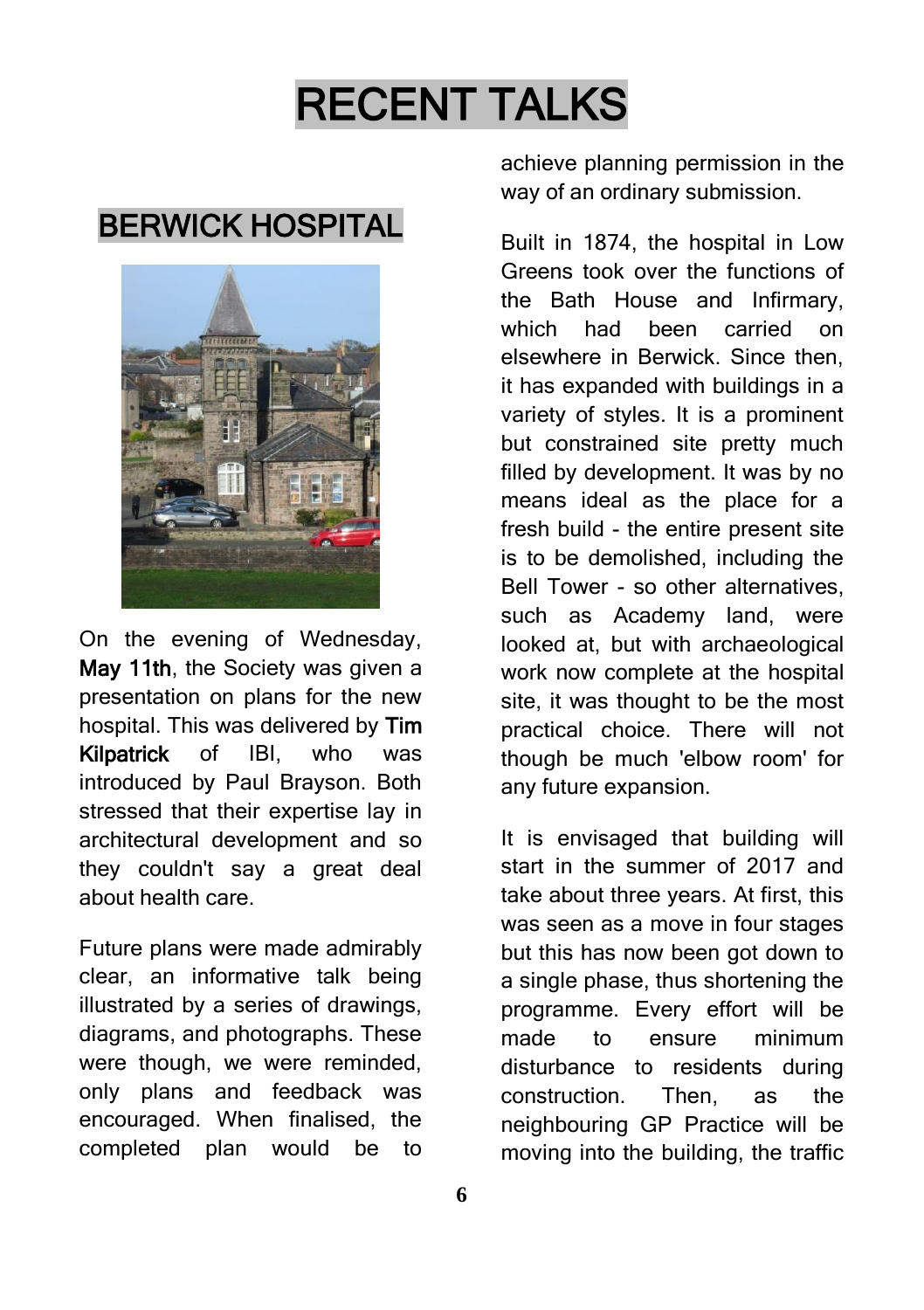# RECENT TALKS

#### BERWICK HOSPITAL



On the evening of Wednesday, May 11th, the Society was given a presentation on plans for the new hospital. This was delivered by Tim Kilpatrick of IBI, who was introduced by Paul Brayson. Both stressed that their expertise lay in architectural development and so they couldn't say a great deal about health care.

Future plans were made admirably clear, an informative talk being illustrated by a series of drawings, diagrams, and photographs. These were though, we were reminded, only plans and feedback was encouraged. When finalised, the completed plan would be to

achieve planning permission in the way of an ordinary submission.

Built in 1874, the hospital in Low Greens took over the functions of the Bath House and Infirmary, which had been carried on elsewhere in Berwick. Since then it has expanded with buildings in a variety of styles. It is a prominent but constrained site pretty much filled by development. It was by no means ideal as the place for a fresh build - the entire present site is to be demolished, including the Bell Tower - so other alternatives, such as Academy land, were looked at, but with archaeological work now complete at the hospital site, it was thought to be the most practical choice. There will not though be much 'elbow room' for any future expansion.

It is envisaged that building will start in the summer of 2017 and take about three years. At first, this was seen as a move in four stages but this has now been got down to a single phase, thus shortening the programme. Every effort will be made to ensure minimum disturbance to residents during construction. Then, as the neighbouring GP Practice will be moving into the building, the traffic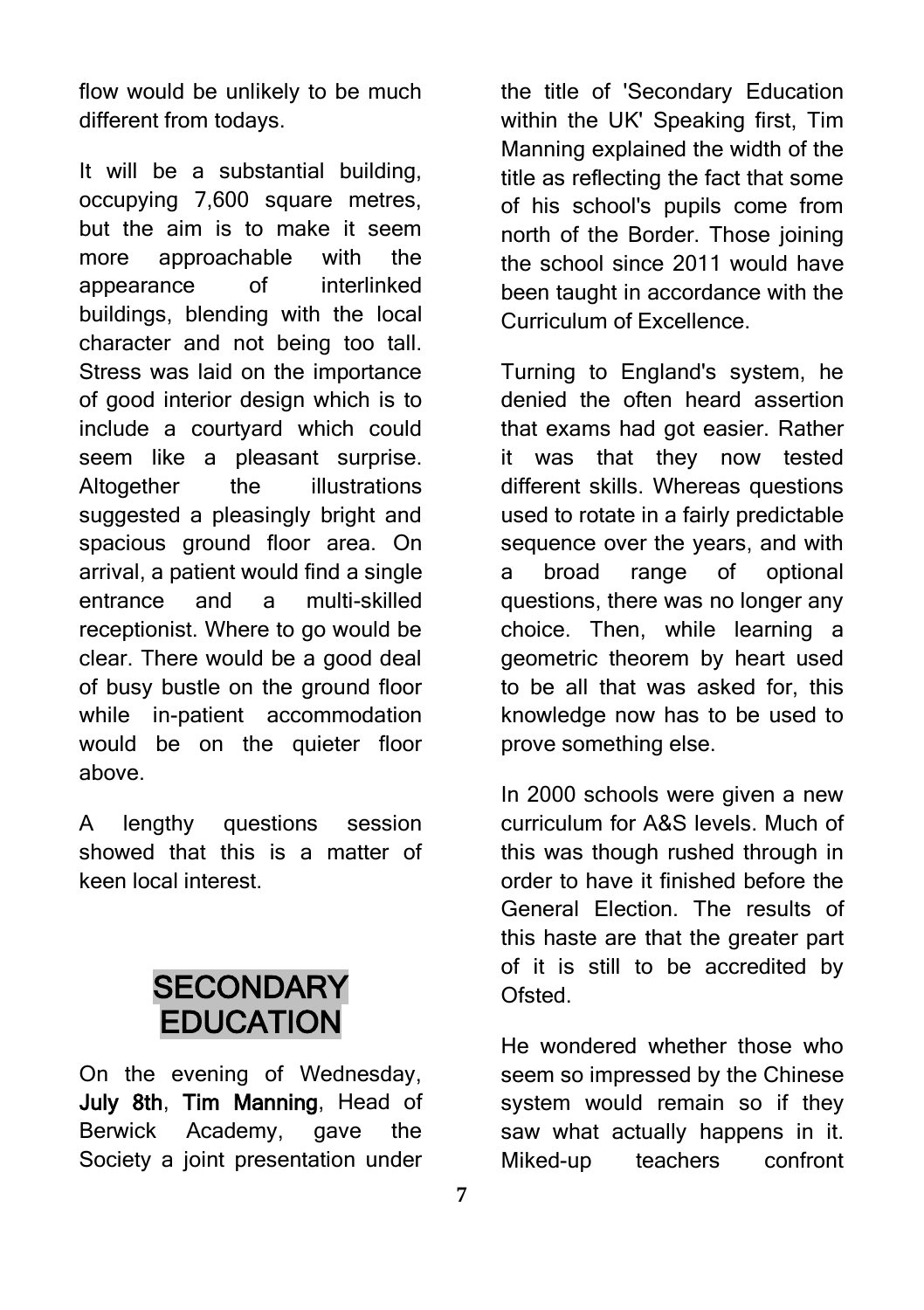flow would be unlikely to be much different from todays.

It will be a substantial building, occupying 7,600 square metres, but the aim is to make it seem more approachable with the appearance of interlinked buildings, blending with the local character and not being too tall. Stress was laid on the importance of good interior design which is to include a courtyard which could seem like a pleasant surprise. Altogether the illustrations suggested a pleasingly bright and spacious ground floor area. On arrival, a patient would find a single entrance and a multi-skilled receptionist. Where to go would be clear. There would be a good deal of busy bustle on the ground floor while in-patient accommodation would be on the quieter floor above.

A lengthy questions session showed that this is a matter of keen local interest.

#### **SECONDARY EDUCATION**

On the evening of Wednesday, July 8th, Tim Manning, Head of Berwick Academy, gave the Society a joint presentation under

the title of 'Secondary Education within the UK' Speaking first. Tim Manning explained the width of the title as reflecting the fact that some of his school's pupils come from north of the Border. Those joining the school since 2011 would have been taught in accordance with the Curriculum of Excellence.

Turning to England's system, he denied the often heard assertion that exams had got easier. Rather it was that they now tested different skills. Whereas questions used to rotate in a fairly predictable sequence over the years, and with a broad range of optional questions, there was no longer any choice. Then, while learning a geometric theorem by heart used to be all that was asked for, this knowledge now has to be used to prove something else.

In 2000 schools were given a new curriculum for A&S levels. Much of this was though rushed through in order to have it finished before the General Election. The results of this haste are that the greater part of it is still to be accredited by Ofsted.

He wondered whether those who seem so impressed by the Chinese system would remain so if they saw what actually happens in it. Miked-up teachers confront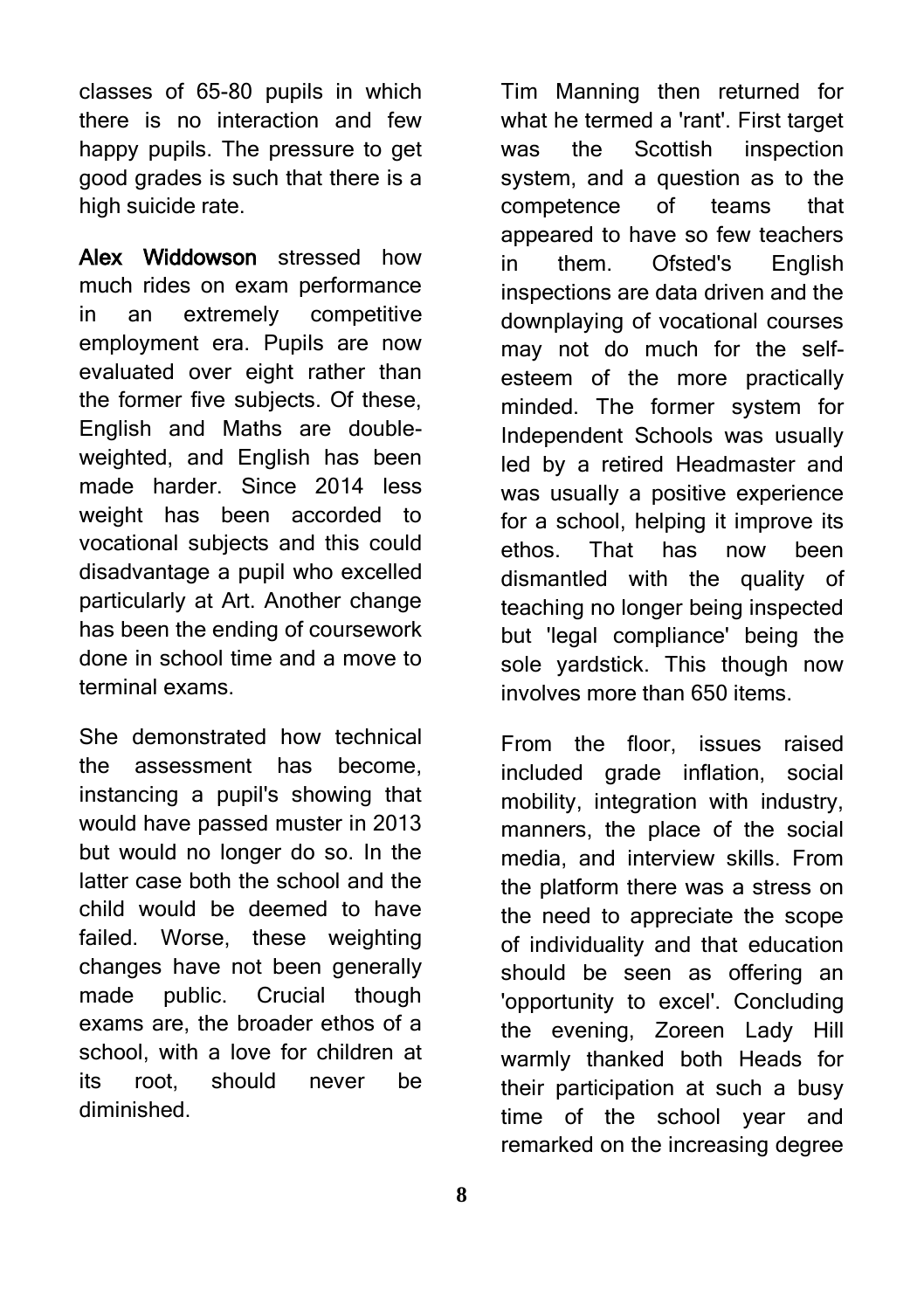classes of 65-80 pupils in which there is no interaction and few happy pupils. The pressure to get good grades is such that there is a high suicide rate.

Alex Widdowson stressed how much rides on exam performance in an extremely competitive employment era. Pupils are now evaluated over eight rather than the former five subjects. Of these, English and Maths are doubleweighted, and English has been made harder. Since 2014 less weight has been accorded to vocational subjects and this could disadvantage a pupil who excelled particularly at Art. Another change has been the ending of coursework done in school time and a move to terminal exams.

She demonstrated how technical the assessment has become, instancing a pupil's showing that would have passed muster in 2013 but would no longer do so. In the latter case both the school and the child would be deemed to have failed. Worse, these weighting changes have not been generally made public. Crucial though exams are, the broader ethos of a school, with a love for children at its root, should never be diminished.

**8**

Tim Manning then returned for what he termed a 'rant'. First target was the Scottish inspection system, and a question as to the competence of teams that appeared to have so few teachers in them. Ofsted's English inspections are data driven and the downplaying of vocational courses may not do much for the selfesteem of the more practically minded. The former system for Independent Schools was usually led by a retired Headmaster and was usually a positive experience for a school, helping it improve its ethos. That has now been dismantled with the quality of teaching no longer being inspected but 'legal compliance' being the sole yardstick. This though now involves more than 650 items.

From the floor, issues raised included grade inflation, social mobility, integration with industry, manners, the place of the social media, and interview skills. From the platform there was a stress on the need to appreciate the scope of individuality and that education should be seen as offering an 'opportunity to excel'. Concluding the evening, Zoreen Lady Hill warmly thanked both Heads for their participation at such a busy time of the school year and remarked on the increasing degree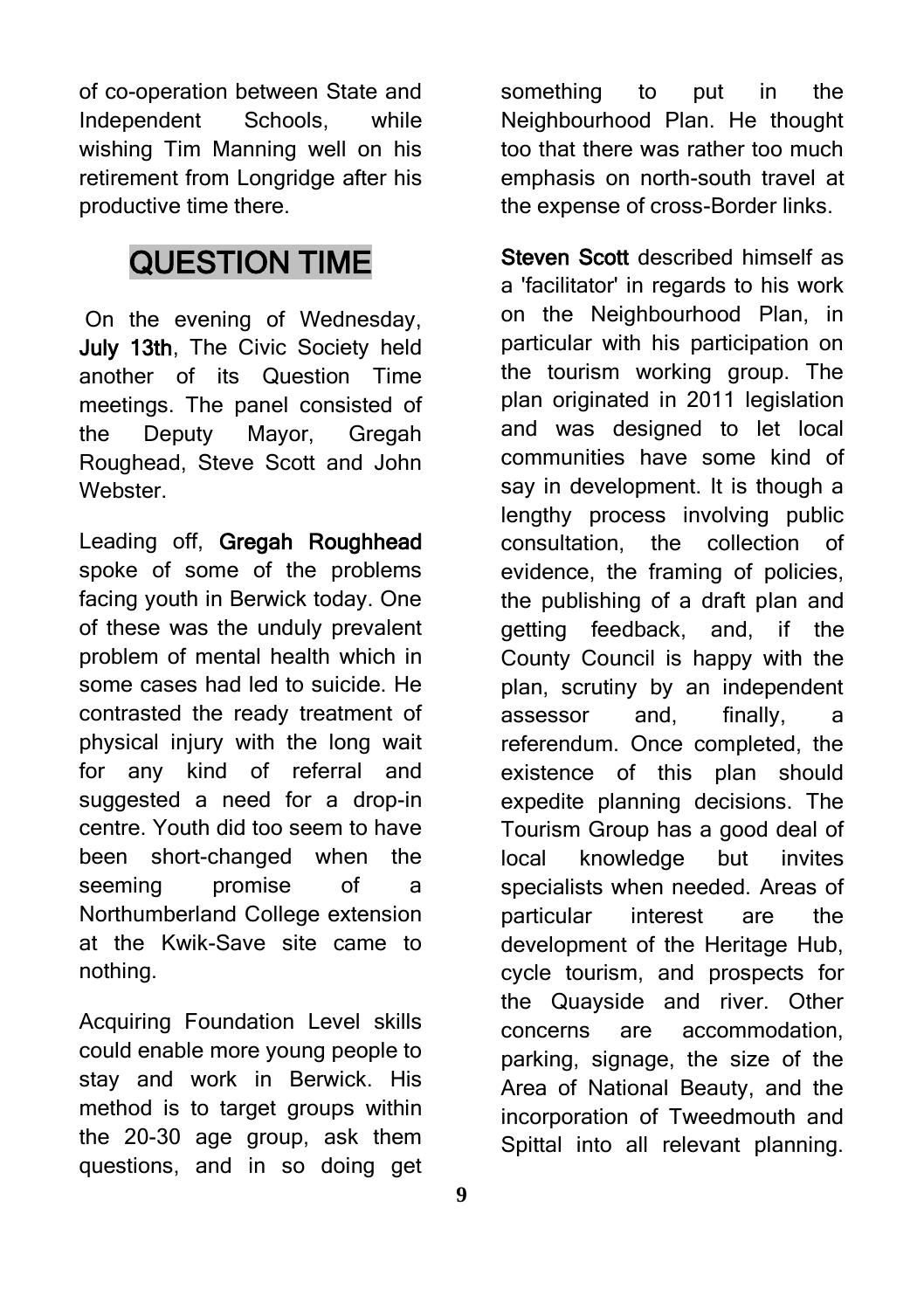of co-operation between State and Independent Schools, while wishing Tim Manning well on his retirement from Longridge after his productive time there.

#### QUESTION TIME

On the evening of Wednesday, July 13th. The Civic Society held another of its Question Time meetings. The panel consisted of the Deputy Mayor, Gregah Roughead, Steve Scott and John Webster.

Leading off, Gregah Roughhead spoke of some of the problems facing youth in Berwick today. One of these was the unduly prevalent problem of mental health which in some cases had led to suicide. He contrasted the ready treatment of physical injury with the long wait for any kind of referral and suggested a need for a drop-in centre. Youth did too seem to have been short-changed when the seeming promise of a Northumberland College extension at the Kwik-Save site came to nothing.

Acquiring Foundation Level skills could enable more young people to stay and work in Berwick. His method is to target groups within the 20-30 age group, ask them questions, and in so doing get

something to put in the Neighbourhood Plan. He thought too that there was rather too much emphasis on north-south travel at the expense of cross-Border links.

Steven Scott described himself as a 'facilitator' in regards to his work on the Neighbourhood Plan, in particular with his participation on the tourism working group. The plan originated in 2011 legislation and was designed to let local communities have some kind of say in development. It is though a lengthy process involving public consultation, the collection of evidence, the framing of policies, the publishing of a draft plan and getting feedback, and, if the County Council is happy with the plan, scrutiny by an independent assessor and, finally, a referendum. Once completed, the existence of this plan should expedite planning decisions. The Tourism Group has a good deal of local knowledge but invites specialists when needed. Areas of particular interest are the development of the Heritage Hub, cycle tourism, and prospects for the Quayside and river. Other concerns are accommodation, parking, signage, the size of the Area of National Beauty, and the incorporation of Tweedmouth and Spittal into all relevant planning.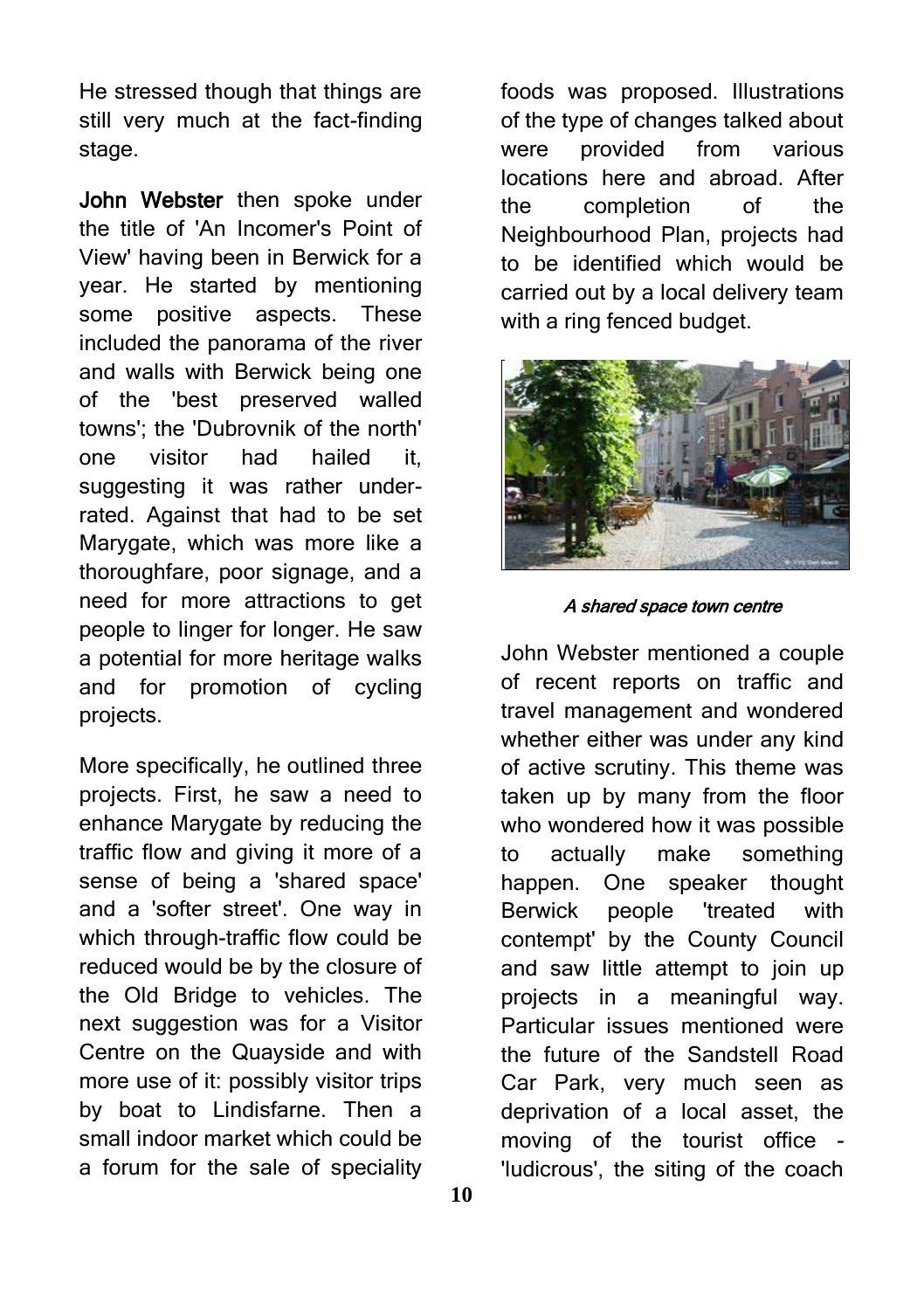He stressed though that things are still very much at the fact-finding stage.

John Webster then spoke under the title of 'An Incomer's Point of View' having been in Berwick for a year. He started by mentioning some positive aspects. These included the panorama of the river and walls with Berwick being one of the 'best preserved walled towns'; the 'Dubrovnik of the north' one visitor had hailed it, suggesting it was rather underrated. Against that had to be set Marygate, which was more like a thoroughfare, poor signage, and a need for more attractions to get people to linger for longer. He saw a potential for more heritage walks and for promotion of cycling projects.

More specifically, he outlined three projects. First, he saw a need to enhance Marygate by reducing the traffic flow and giving it more of a sense of being a 'shared space' and a 'softer street'. One way in which through-traffic flow could be reduced would be by the closure of the Old Bridge to vehicles. The next suggestion was for a Visitor Centre on the Quayside and with more use of it: possibly visitor trips by boat to Lindisfarne. Then a small indoor market which could be a forum for the sale of speciality

foods was proposed. Illustrations of the type of changes talked about were provided from various locations here and abroad. After the completion of the Neighbourhood Plan, projects had to be identified which would be carried out by a local delivery team with a ring fenced budget.



A shared space town centre

John Webster mentioned a couple of recent reports on traffic and travel management and wondered whether either was under any kind of active scrutiny. This theme was taken up by many from the floor who wondered how it was possible to actually make something happen. One speaker thought Berwick people 'treated with contempt' by the County Council and saw little attempt to join up projects in a meaningful way. Particular issues mentioned were the future of the Sandstell Road Car Park, very much seen as deprivation of a local asset, the moving of the tourist office - 'ludicrous', the siting of the coach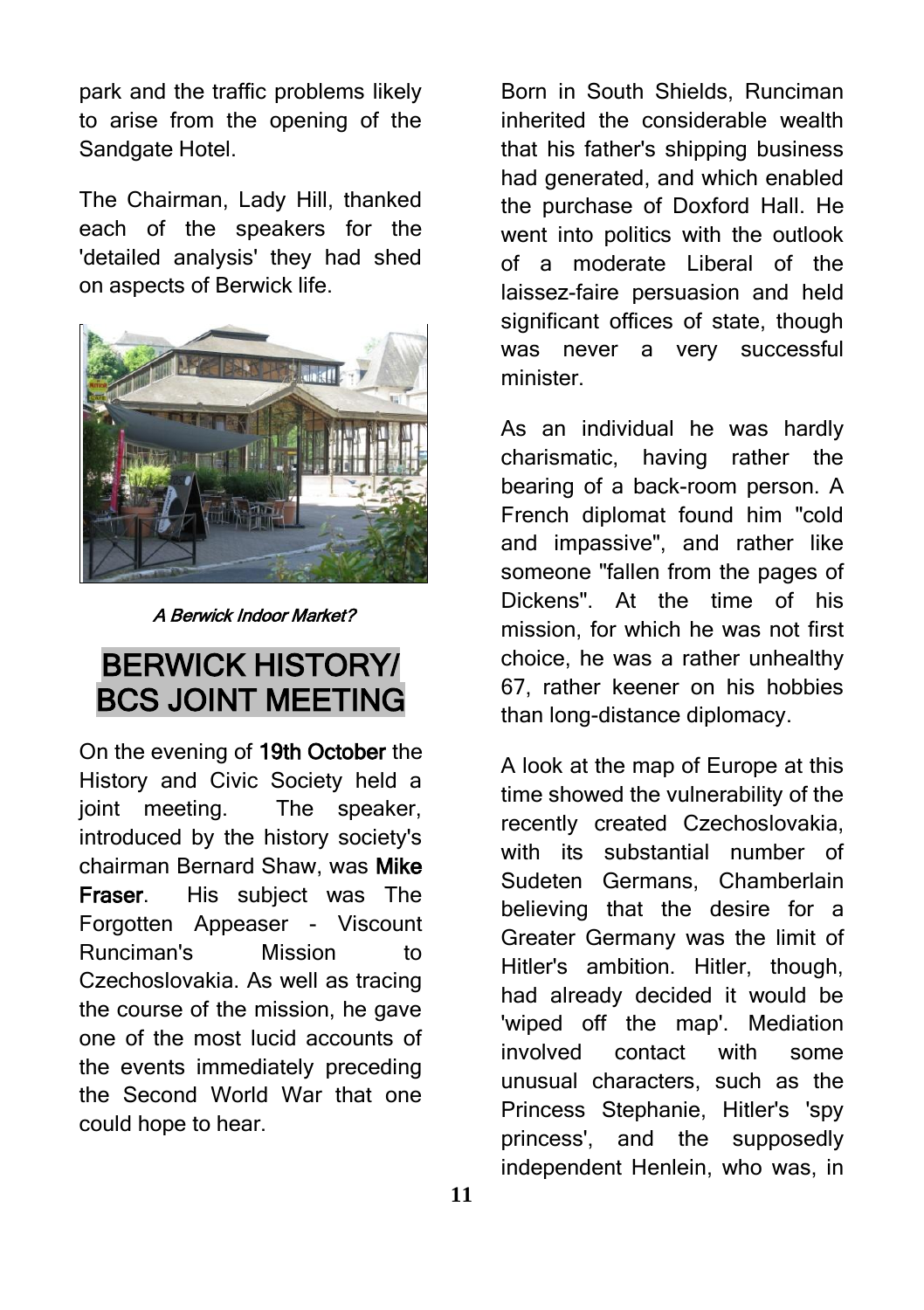park and the traffic problems likely to arise from the opening of the Sandgate Hotel.

The Chairman, Lady Hill, thanked each of the speakers for the 'detailed analysis' they had shed on aspects of Berwick life.



A Berwick Indoor Market?

#### BERWICK HISTORY/ BCS JOINT MEETING

On the evening of 19th October the History and Civic Society held a joint meeting. The speaker, introduced by the history society's chairman Bernard Shaw, was Mike Fraser. His subject was The Forgotten Appeaser - Viscount Runciman's Mission to Czechoslovakia. As well as tracing the course of the mission, he gave one of the most lucid accounts of the events immediately preceding the Second World War that one could hope to hear.

Born in South Shields, Runciman inherited the considerable wealth that his father's shipping business had generated, and which enabled the purchase of Doxford Hall. He went into politics with the outlook of a moderate Liberal of the laissez-faire persuasion and held significant offices of state, though was never a very successful minister.

As an individual he was hardly charismatic, having rather the bearing of a back-room person. A French diplomat found him "cold and impassive", and rather like someone "fallen from the pages of Dickens". At the time of his mission, for which he was not first choice, he was a rather unhealthy 67, rather keener on his hobbies than long-distance diplomacy.

A look at the map of Europe at this time showed the vulnerability of the recently created Czechoslovakia, with its substantial number of Sudeten Germans, Chamberlain believing that the desire for a Greater Germany was the limit of Hitler's ambition. Hitler, though, had already decided it would be 'wiped off the map'. Mediation involved contact with some unusual characters, such as the Princess Stephanie, Hitler's 'spy princess', and the supposedly independent Henlein, who was, in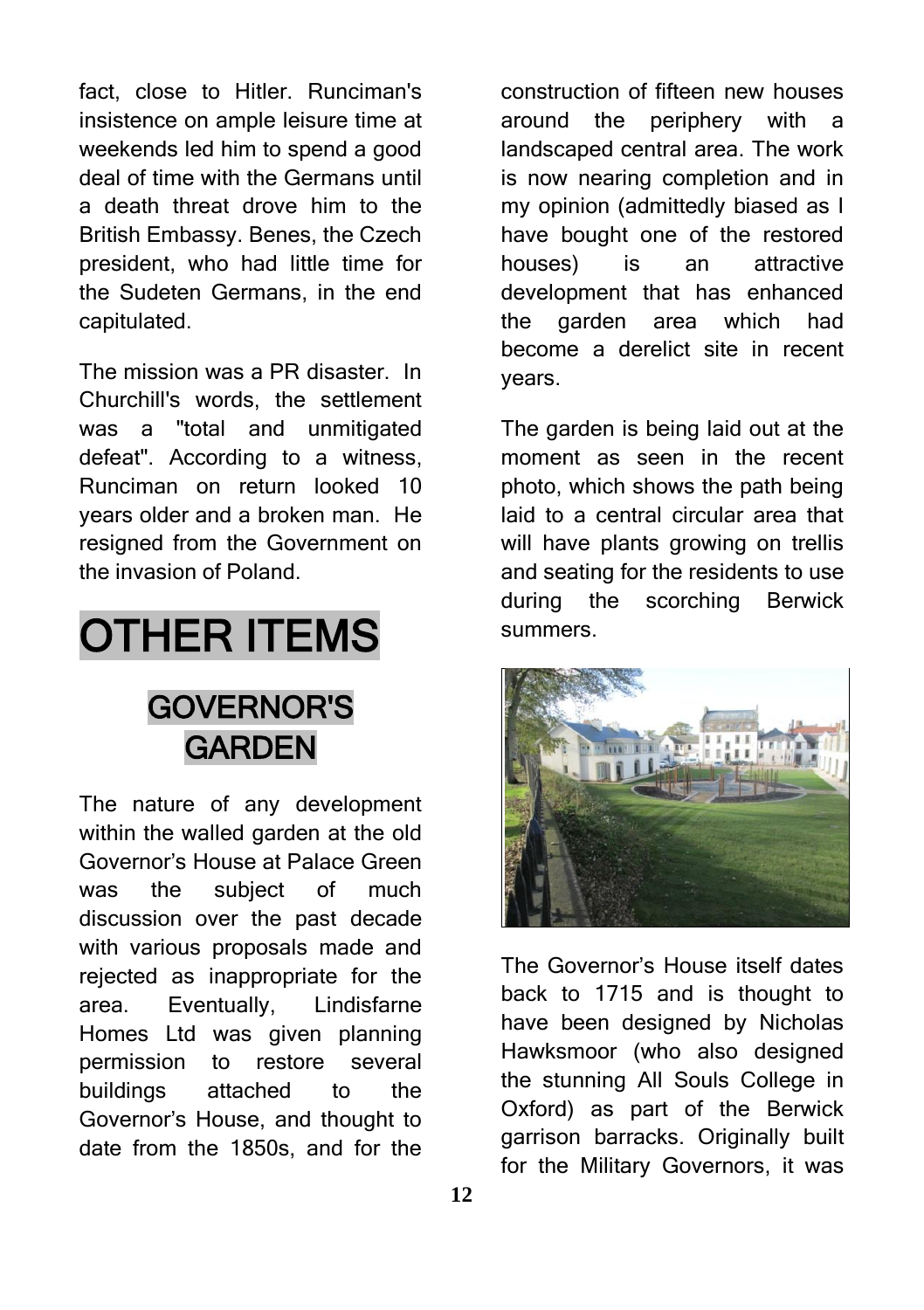fact, close to Hitler. Runciman's insistence on ample leisure time at weekends led him to spend a good deal of time with the Germans until a death threat drove him to the British Embassy. Benes, the Czech president, who had little time for the Sudeten Germans, in the end capitulated.

The mission was a PR disaster. In Churchill's words, the settlement was a "total and unmitigated defeat". According to a witness, Runciman on return looked 10 years older and a broken man. He resigned from the Government on the invasion of Poland.

# OTHER ITEMS

### GOVERNOR'S **GARDEN**

The nature of any development within the walled garden at the old Governor's House at Palace Green was the subject of much discussion over the past decade with various proposals made and rejected as inappropriate for the area. Eventually, Lindisfarne Homes Ltd was given planning permission to restore several buildings attached to the Governor's House, and thought to date from the 1850s, and for the

construction of fifteen new houses around the periphery with a landscaped central area. The work is now nearing completion and in my opinion (admittedly biased as I have bought one of the restored houses) is an attractive development that has enhanced the garden area which had become a derelict site in recent years.

The garden is being laid out at the moment as seen in the recent photo, which shows the path being laid to a central circular area that will have plants growing on trellis and seating for the residents to use during the scorching Berwick summers.



The Governor's House itself dates back to 1715 and is thought to have been designed by Nicholas Hawksmoor (who also designed the stunning All Souls College in Oxford) as part of the Berwick garrison barracks. Originally built for the Military Governors, it was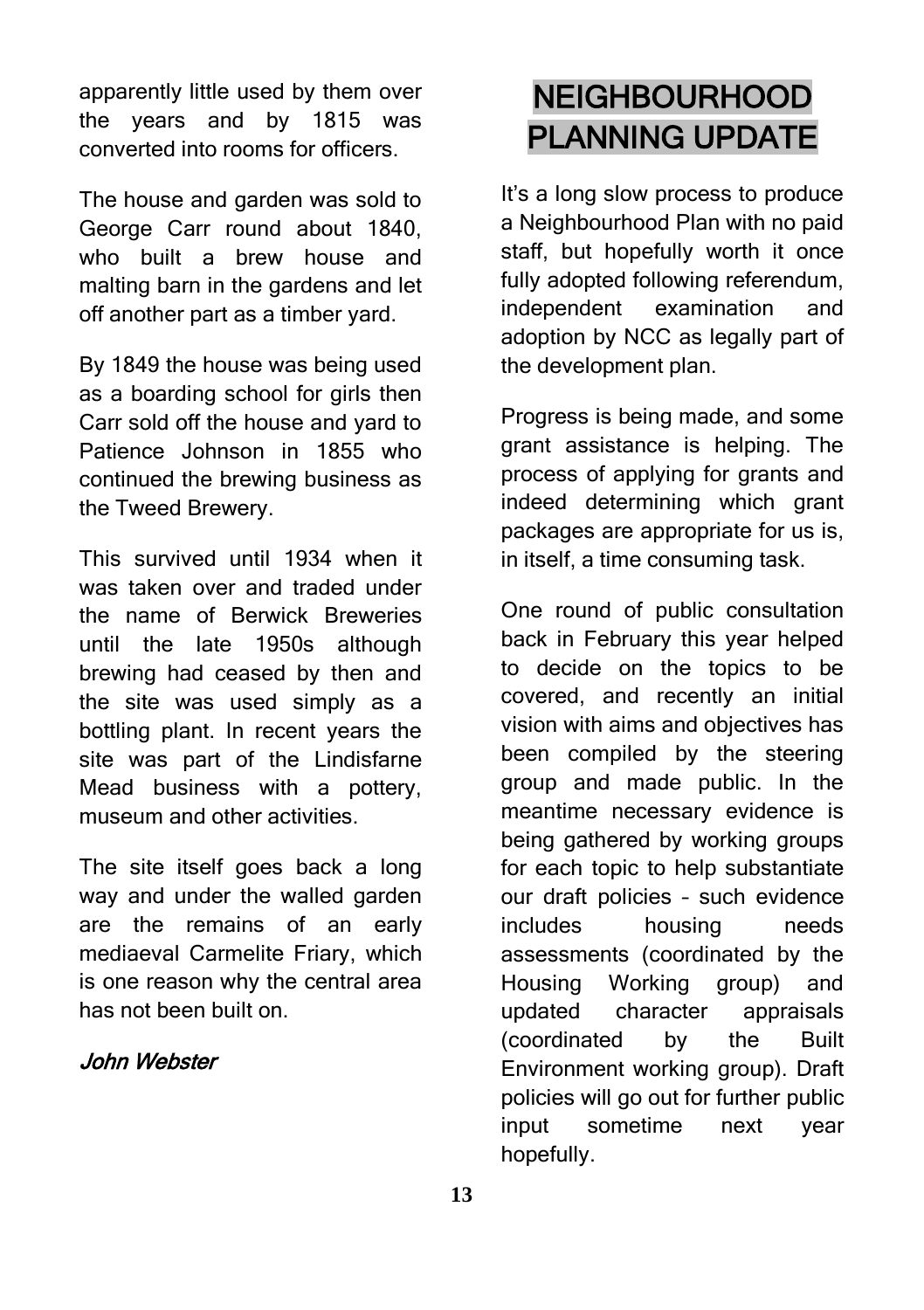apparently little used by them over the years and by 1815 was converted into rooms for officers.

The house and garden was sold to George Carr round about 1840, who built a brew house and malting barn in the gardens and let off another part as a timber yard.

By 1849 the house was being used as a boarding school for girls then Carr sold off the house and yard to Patience Johnson in 1855 who continued the brewing business as the Tweed Brewery.

This survived until 1934 when it was taken over and traded under the name of Berwick Breweries until the late 1950s although brewing had ceased by then and the site was used simply as a bottling plant. In recent years the site was part of the Lindisfarne Mead business with a pottery, museum and other activities.

The site itself goes back a long way and under the walled garden are the remains of an early mediaeval Carmelite Friary, which is one reason why the central area has not been built on.

#### John Webster

### NEIGHBOURHOOD PLANNING UPDATE

It's a long slow process to produce a Neighbourhood Plan with no paid staff, but hopefully worth it once fully adopted following referendum, independent examination and adoption by NCC as legally part of the development plan.

Progress is being made, and some grant assistance is helping. The process of applying for grants and indeed determining which grant packages are appropriate for us is, in itself, a time consuming task.

One round of public consultation back in February this year helped to decide on the topics to be covered, and recently an initial vision with aims and objectives has been compiled by the steering group and made public. In the meantime necessary evidence is being gathered by working groups for each topic to help substantiate our draft policies – such evidence includes housing needs assessments (coordinated by the Housing Working group) and updated character appraisals (coordinated by the Built Environment working group). Draft policies will go out for further public input sometime next year hopefully.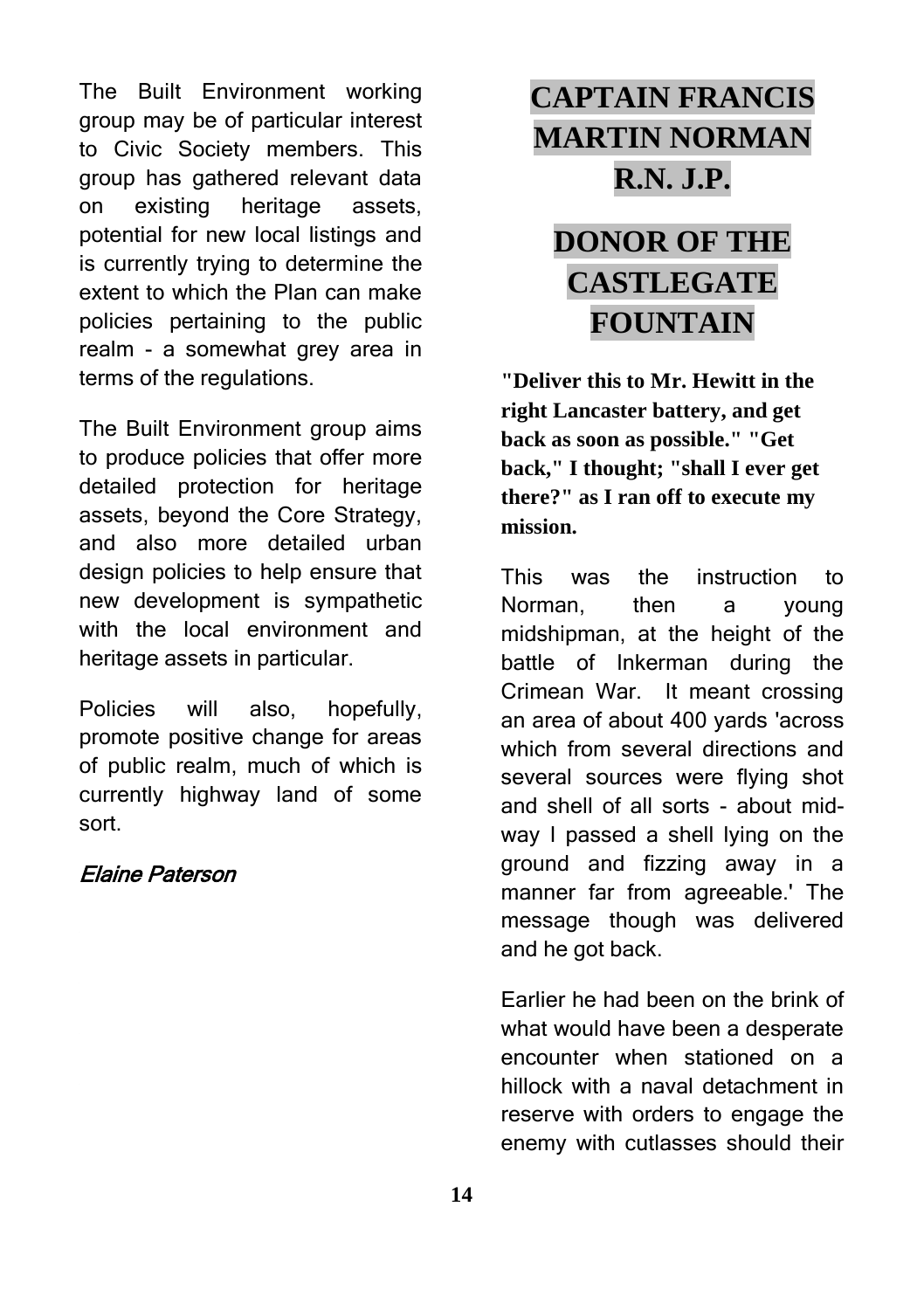The Built Environment working group may be of particular interest to Civic Society members. This group has gathered relevant data on existing heritage assets, potential for new local listings and is currently trying to determine the extent to which the Plan can make policies pertaining to the public realm - a somewhat grey area in terms of the regulations.

The Built Environment group aims to produce policies that offer more detailed protection for heritage assets, beyond the Core Strategy, and also more detailed urban design policies to help ensure that new development is sympathetic with the local environment and heritage assets in particular.

Policies will also, hopefully, promote positive change for areas of public realm, much of which is currently highway land of some sort.

#### Elaine Paterson

## **CAPTAIN FRANCIS MARTIN NORMAN R.N. J.P.**

### **DONOR OF THE CASTLEGATE FOUNTAIN**

**"Deliver this to Mr. Hewitt in the right Lancaster battery, and get back as soon as possible." "Get back," I thought; "shall I ever get there?" as I ran off to execute my mission.**

This was the instruction to Norman, then a young midshipman, at the height of the battle of Inkerman during the Crimean War. It meant crossing an area of about 400 yards 'across which from several directions and several sources were flying shot and shell of all sorts - about midway I passed a shell lying on the ground and fizzing away in a manner far from agreeable.' The message though was delivered and he got back.

Earlier he had been on the brink of what would have been a desperate encounter when stationed on a hillock with a naval detachment in reserve with orders to engage the enemy with cutlasses should their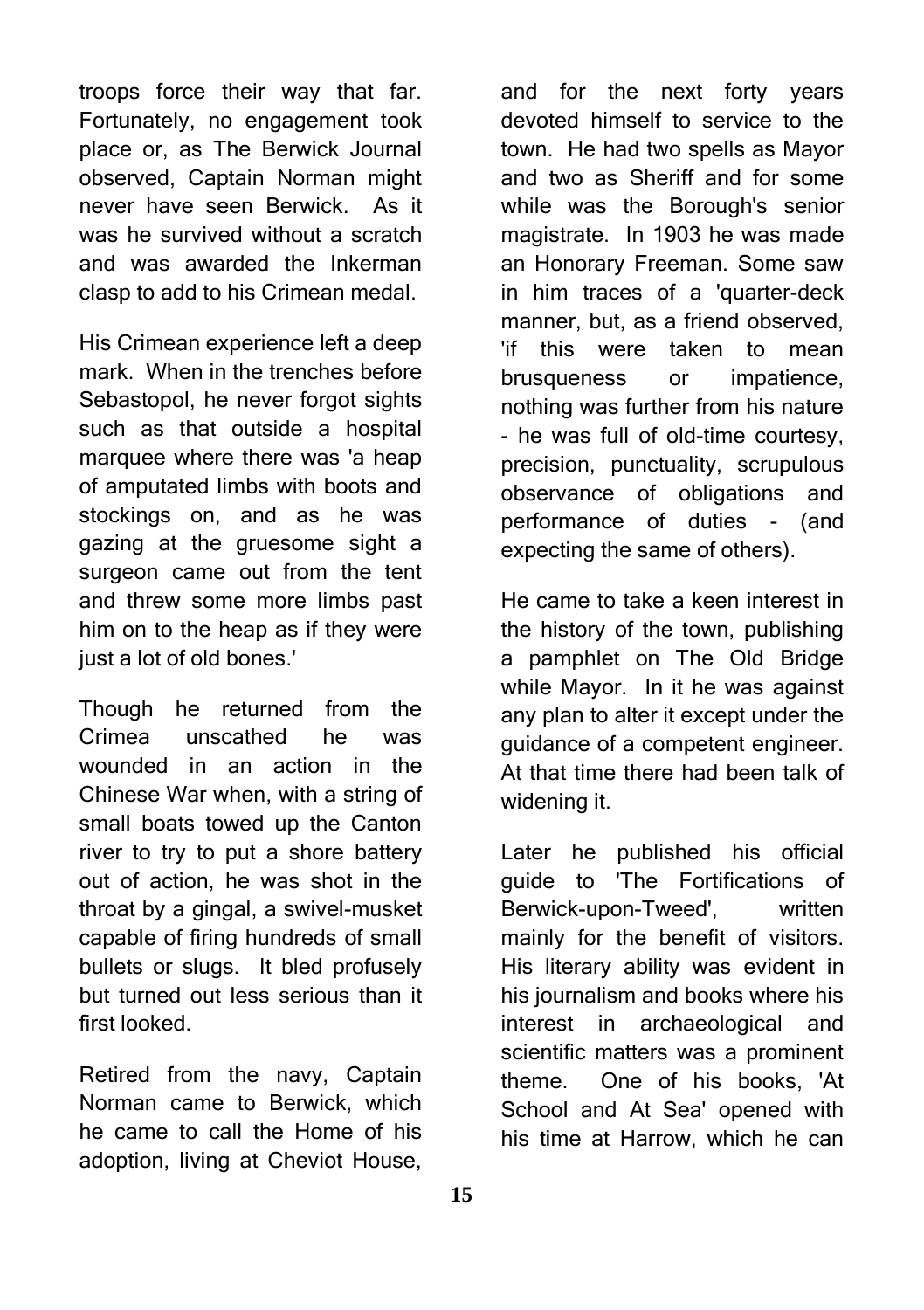troops force their way that far. Fortunately, no engagement took place or, as The Berwick Journal observed, Captain Norman might never have seen Berwick. As it was he survived without a scratch and was awarded the Inkerman clasp to add to his Crimean medal.

His Crimean experience left a deep mark. When in the trenches before Sebastopol, he never forgot sights such as that outside a hospital marquee where there was 'a heap of amputated limbs with boots and stockings on, and as he was gazing at the gruesome sight a surgeon came out from the tent and threw some more limbs past him on to the heap as if they were just a lot of old bones.'

Though he returned from the Crimea unscathed he was wounded in an action in the Chinese War when, with a string of small boats towed up the Canton river to try to put a shore battery out of action, he was shot in the throat by a gingal, a swivel-musket capable of firing hundreds of small bullets or slugs. It bled profusely but turned out less serious than it first looked.

Retired from the navy, Captain Norman came to Berwick, which he came to call the Home of his adoption, living at Cheviot House,

and for the next forty years devoted himself to service to the town. He had two spells as Mayor and two as Sheriff and for some while was the Borough's senior magistrate. In 1903 he was made an Honorary Freeman. Some saw in him traces of a 'quarter-deck manner, but, as a friend observed, 'if this were taken to mean brusqueness or impatience, nothing was further from his nature - he was full of old-time courtesy, precision, punctuality, scrupulous observance of obligations and performance of duties - (and expecting the same of others).

He came to take a keen interest in the history of the town, publishing a pamphlet on The Old Bridge while Mayor. In it he was against any plan to alter it except under the guidance of a competent engineer. At that time there had been talk of widening it.

Later he published his official guide to 'The Fortifications of Berwick-upon-Tweed', written mainly for the benefit of visitors. His literary ability was evident in his journalism and books where his interest in archaeological and scientific matters was a prominent theme. One of his books, 'At School and At Sea' opened with his time at Harrow, which he can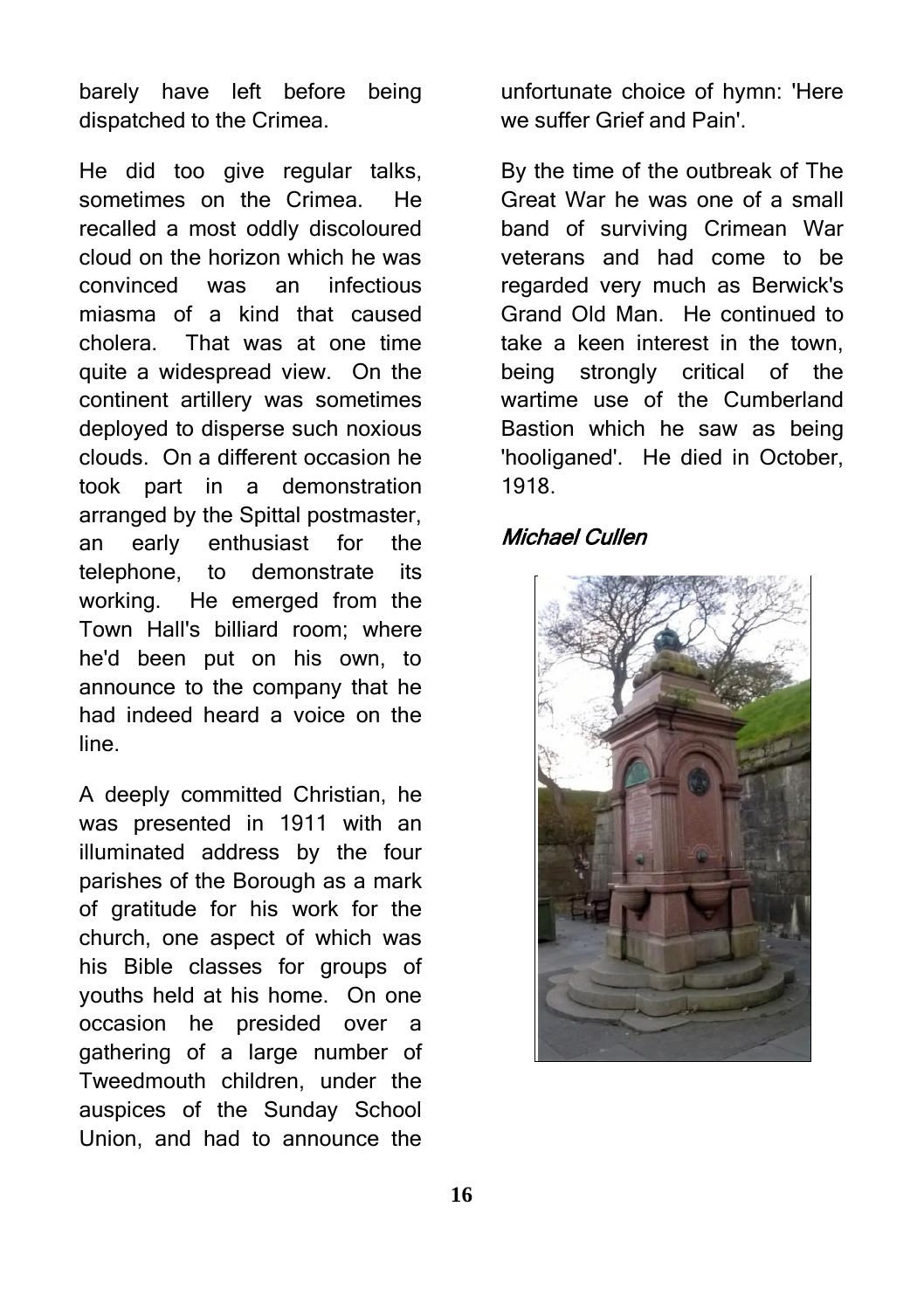barely have left before being dispatched to the Crimea.

He did too give regular talks, sometimes on the Crimea. He recalled a most oddly discoloured cloud on the horizon which he was convinced was an infectious miasma of a kind that caused cholera. That was at one time quite a widespread view. On the continent artillery was sometimes deployed to disperse such noxious clouds. On a different occasion he took part in a demonstration arranged by the Spittal postmaster, an early enthusiast for the telephone, to demonstrate its working. He emerged from the Town Hall's billiard room; where he'd been put on his own, to announce to the company that he had indeed heard a voice on the line.

A deeply committed Christian, he was presented in 1911 with an illuminated address by the four parishes of the Borough as a mark of gratitude for his work for the church, one aspect of which was his Bible classes for groups of youths held at his home. On one occasion he presided over a gathering of a large number of Tweedmouth children, under the auspices of the Sunday School Union, and had to announce the

unfortunate choice of hymn: 'Here we suffer Grief and Pain'.

By the time of the outbreak of The Great War he was one of a small band of surviving Crimean War veterans and had come to be regarded very much as Berwick's Grand Old Man. He continued to take a keen interest in the town, being strongly critical of the wartime use of the Cumberland Bastion which he saw as being 'hooliganed'. He died in October, 1918.

#### Michael Cullen

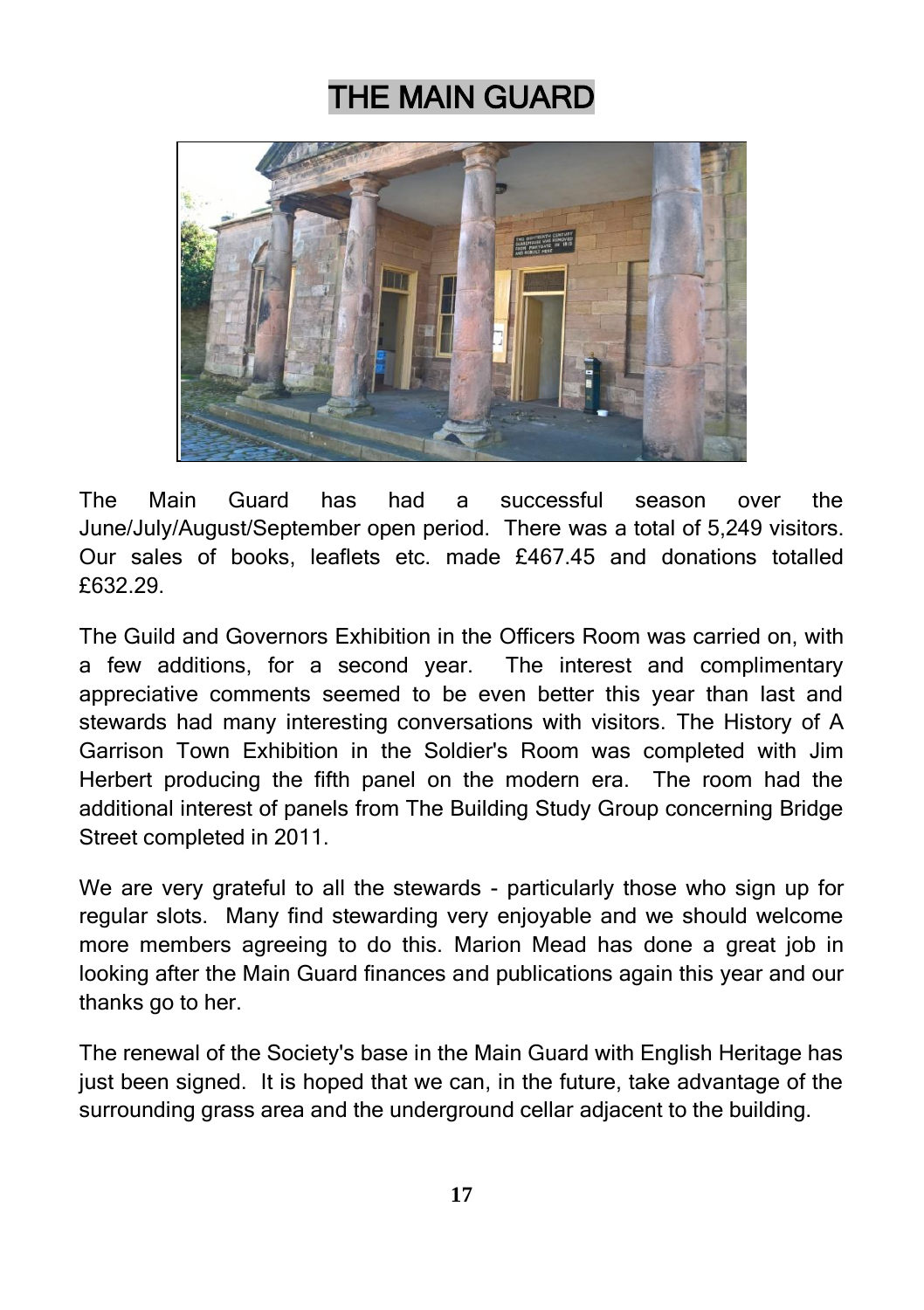### THE MAIN GUARD



The Main Guard has had a successful season over the June/July/August/September open period. There was a total of 5,249 visitors. Our sales of books, leaflets etc. made £467.45 and donations totalled £632.29.

The Guild and Governors Exhibition in the Officers Room was carried on, with a few additions, for a second year. The interest and complimentary appreciative comments seemed to be even better this year than last and stewards had many interesting conversations with visitors. The History of A Garrison Town Exhibition in the Soldier's Room was completed with Jim Herbert producing the fifth panel on the modern era. The room had the additional interest of panels from The Building Study Group concerning Bridge Street completed in 2011.

We are very grateful to all the stewards - particularly those who sign up for regular slots. Many find stewarding very enjoyable and we should welcome more members agreeing to do this. Marion Mead has done a great job in looking after the Main Guard finances and publications again this year and our thanks go to her.

The renewal of the Society's base in the Main Guard with English Heritage has just been signed. It is hoped that we can, in the future, take advantage of the surrounding grass area and the underground cellar adjacent to the building.